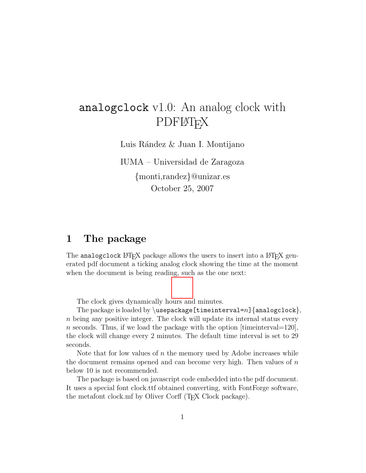# analogclock v1.0: An analog clock with **PDFLATEX**

Luis Rández & Juan I. Montijano

IUMA – Universidad de Zaragoza {monti,randez}@unizar.es October 25, 2007

### 1 The package

The analogclock LAT<sub>EX</sub> package allows the users to insert into a LAT<sub>EX</sub> generated pdf document a ticking analog clock showing the time at the moment when the document is being reading, such as the one next:

The clock gives dynamically hours and minutes.

The package is loaded by  $\usepackage[timeinterval=n]{analytic}$ n being any positive integer. The clock will update its internal status every n seconds. Thus, if we load the package with the option  $[timeinterval=120]$ , the clock will change every 2 minutes. The default time interval is set to 29 seconds.

Note that for low values of  $n$  the memory used by Adobe increases while the document remains opened and can become very high. Then values of  $n$ below 10 is not recommended.

The package is based on javascript code embedded into the pdf document. It uses a special font clock.ttf obtained converting, with FontForge software, the metafont clock.mf by Oliver Corff (T<sub>E</sub>X Clock package).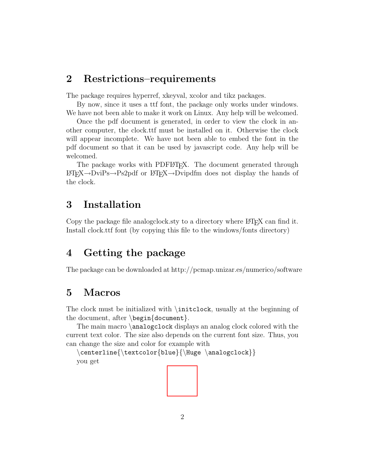#### 2 Restrictions–requirements

The package requires hyperref, xkeyval, xcolor and tikz packages.

By now, since it uses a ttf font, the package only works under windows. We have not been able to make it work on Linux. Any help will be welcomed.

Once the pdf document is generated, in order to view the clock in another computer, the clock.ttf must be installed on it. Otherwise the clock will appear incomplete. We have not been able to embed the font in the pdf document so that it can be used by javascript code. Any help will be welcomed.

The package works with PDFLATEX. The document generated through LATEX→DviPs→Ps2pdf or LATEX→Dvipdfm does not display the hands of the clock.

# 3 Installation

Copy the package file analogclock.sty to a directory where LAT<sub>EX</sub> can find it. Install clock.ttf font (by copying this file to the windows/fonts directory)

## 4 Getting the package

The package can be downloaded at http://pcmap.unizar.es/numerico/software

### 5 Macros

The clock must be initialized with \initclock, usually at the beginning of the document, after  $\begin{cases} \text{document} \end{cases}$ .

The main macro \analogclock displays an analog clock colored with the current text color. The size also depends on the current font size. Thus, you can change the size and color for example with

\centerline{\textcolor{blue}{\Huge \analogclock}} you get